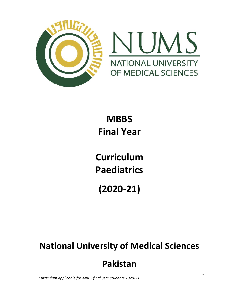

# **MBBS** Final Year

Curriculum Paediatrics

(2020-21)

# National University of Medical Sciences

## Pakistan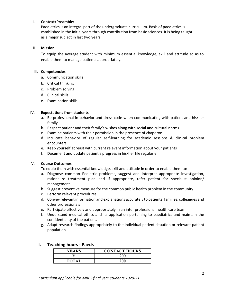#### I. Context/Preamble:

Paediatrics is an integral part of the undergraduate curriculum. Basis of paediatrics is established in the initial years through contribution from basic sciences. It is being taught as a major subject in last two years.

#### II. Mission

To equip the average student with minimum essential knowledge, skill and attitude so as to enable them to manage patients appropriately.

#### III. Competencies

- a. Communication skills
- b. Critical thinking
- c. Problem solving
- d. Clinical skills
- e. Examination skills

#### IV. Expectations from students

- a. Be professional in behavior and dress code when communicating with patient and his/her family
- b. Respect patient and their family's wishes along with social and cultural norms
- c. Examine patients with their permission in the presence of chaperon
- d. Inculcate behavior of regular self-learning for academic sessions & clinical problem encounters
- e. Keep yourself abreast with current relevant information about your patients
- f. Document and update patient's progress in his/her file regularly

#### V. Course Outcomes

To equip them with essential knowledge, skill and attitude in order to enable them to:

- a. Diagnose common Pediatric problems, suggest and interpret appropriate investigation, rationalize treatment plan and if appropriate, refer patient for specialist opinion/ management.
- b. Suggest preventive measure for the common public health problem in the community
- c. Perform relevant procedures
- d. Convey relevant information and explanations accurately to patients, families, colleagues and other professionals
- e. Participate effectively and appropriately in an inter professional health care team
- f. Understand medical ethics and its application pertaining to paediatrics and maintain the confidentiality of the patient.
- g. Adapt research findings appropriately to the individual patient situation or relevant patient population

### YEARS | CONTACT HOURS V 200 TOTAL 200

#### I. Teaching hours - Paeds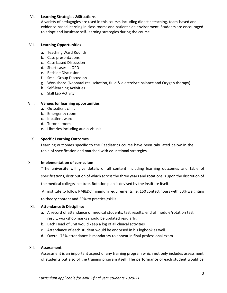#### VI. Learning Strategies &Situations

A variety of pedagogies are used in this course, including didactic teaching, team-based and evidence-based learning in class rooms and patient side environment. Students are encouraged to adopt and inculcate self-learning strategies during the course

#### VII. Learning Opportunities

- a. Teaching Ward Rounds
- b. Case presentations
- c. Case based Discussion
- d. Short cases in OPD
- e. Bedside Discussion
- f. Small Group Discussion
- g. Workshops (Neonatal resuscitation, fluid & electrolyte balance and Oxygen therapy)
- h. Self-learning Activities
- i. Skill Lab Activity

#### VIII. Venues for learning opportunities

- a. Outpatient clinic
- b. Emergency room
- c. Inpatient ward
- d. Tutorial room
- e. Libraries including audio-visuals

#### IX. Specific Learning Outcomes

Learning outcomes specific to the Paediatrics course have been tabulated below in the table of specification and matched with educational strategies.

#### X. Implementation of curriculum

\*The university will give details of all content including learning outcomes and table of specifications, distribution of which across the three years and rotations is upon the discretion of

the medical college/institute. Rotation plan is devised by the institute itself.

All institute to follow PM&DC minimum requirements i.e. 150 contact hours with 50% weighting

to theory content and 50% to practical/skills

#### XI. Attendance & Discipline:

- a. A record of attendance of medical students, test results, end of module/rotation test result, workshop marks should be updated regularly.
- b. Each Head of unit would keep a log of all clinical activities
- c. Attendance of each student would be endorsed in his logbook as well.
- d. Overall 75% attendance is mandatory to appear in final professional exam

#### XII. Assessment

Assessment is an important aspect of any training program which not only includes assessment of students but also of the training program itself. The performance of each student would be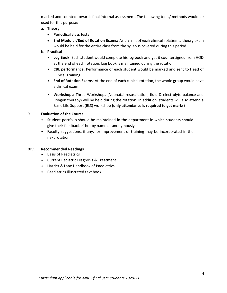marked and counted towards final internal assessment. The following tools/ methods would be used for this purpose:

### a. Theory

- Periodical class tests
- End Modular/End of Rotation Exams: At the end of each clinical rotation, a theory exam would be held for the entire class from the syllabus covered during this period
- b. Practical
	- Log Book: Each student would complete his log book and get it countersigned from HOD at the end of each rotation. Log book is maintained during the rotation
	- CBL performance: Performance of each student would be marked and sent to Head of Clinical Training
	- End of Rotation Exams: At the end of each clinical rotation, the whole group would have a clinical exam.
	- Workshops: Three Workshops (Neonatal resuscitation, fluid & electrolyte balance and Oxygen therapy) will be held during the rotation. In addition, students will also attend a Basic Life Support (BLS) workshop (only attendance is required to get marks)

### XIII. Evaluation of the Course

- Student portfolio should be maintained in the department in which students should give their feedback either by name or anonymously
- Faculty suggestions, if any, for improvement of training may be incorporated in the  $\bullet$ next rotation

#### XIV. Recommended Readings

- Basis of Paediatrics
- Current Pediatric Diagnosis & Treatment
- Harriet & Lane Handbook of Paediatrics
- Paediatrics illustrated text book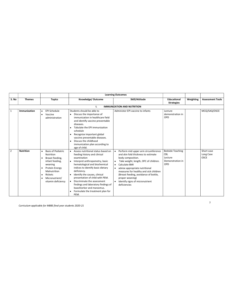|                |                  |                                                                                                                                                                                                        |                                                                                                                                                                                                                                                                                                                                                                                                                                                       | <b>Learning Outcomes</b>                                                                                                                                                                                                                                                                                                                                                                    |                                                                             |           |                                        |
|----------------|------------------|--------------------------------------------------------------------------------------------------------------------------------------------------------------------------------------------------------|-------------------------------------------------------------------------------------------------------------------------------------------------------------------------------------------------------------------------------------------------------------------------------------------------------------------------------------------------------------------------------------------------------------------------------------------------------|---------------------------------------------------------------------------------------------------------------------------------------------------------------------------------------------------------------------------------------------------------------------------------------------------------------------------------------------------------------------------------------------|-----------------------------------------------------------------------------|-----------|----------------------------------------|
| S. No          | <b>Themes</b>    | <b>Topics</b>                                                                                                                                                                                          | Knowledge/Outcome                                                                                                                                                                                                                                                                                                                                                                                                                                     | Skill/Attitude                                                                                                                                                                                                                                                                                                                                                                              | <b>Educational</b><br><b>Strategies</b>                                     | Weighting | <b>Assessment Tools</b>                |
|                |                  |                                                                                                                                                                                                        |                                                                                                                                                                                                                                                                                                                                                                                                                                                       | <b>IMMUNIZATION AND NUTRITION</b>                                                                                                                                                                                                                                                                                                                                                           |                                                                             |           |                                        |
|                | Immunization     | EPI Schedule<br>$\bullet$<br>Vaccine<br>$\bullet$<br>administration                                                                                                                                    | Students should be able to<br>• Discuss the importance of<br>immunization in healthcare field<br>and identify vaccine preventable<br>diseases.<br>Tabulate the EPI immunization<br>schedule<br>Recognize important global<br>vaccine preventable diseases.<br>Discuss the childhood<br>immunization plan according to<br>age of child.                                                                                                                | Administer EPI vaccine to infants                                                                                                                                                                                                                                                                                                                                                           | Lecture<br>demonstration in<br>OPD                                          |           | MCQ/SAQ/OSCE                           |
| $\overline{2}$ | <b>Nutrition</b> | <b>Basis of Pediatric</b><br>Nutrition<br>Breast feeding,<br>infant feeding,<br>weaning<br>Protein Energy<br>Malnutrition<br>Rickets<br>$\bullet$<br>Micronutrient/<br>$\bullet$<br>vitamin deficiency | Assess nutritional status based on<br>feeding history and clinical<br>examination<br>Interpret anthropometry, basic<br>$\bullet$<br>hematological and biochemical<br>indices to identify basic dietary<br>deficiency.<br>Identify the causes, clinical<br>presentation of child with PEM.<br>Discriminate the assessment<br>$\bullet$<br>findings and laboratory findings of<br>kwashiorkor and marasmus.<br>Formulate the treatment plan for<br>PEM. | Perform mid upper arm circumference<br>and skin fold thickness to estimate<br>body composition.<br>Take weight, length, OFC of children.<br>$\bullet$<br>Calculate BMI<br>$\bullet$<br>advise appropriate nutritional<br>$\bullet$<br>measures for healthy and sick children<br>(Breast feeding, avoidance of bottle,<br>proper weaning)<br>Identify signs of micronutrient<br>deficiencies | <b>Bedside Teaching</b><br><b>CBL</b><br>Lecture<br>Demonstration in<br>OPD |           | Short case<br>Long Case<br><b>OSCE</b> |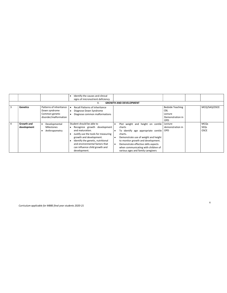|   |                 |                         | Identify the causes and clinical    |                                      |                         |              |
|---|-----------------|-------------------------|-------------------------------------|--------------------------------------|-------------------------|--------------|
|   |                 |                         | signs of micronutrient deficiency   |                                      |                         |              |
|   |                 |                         |                                     | <b>GROWTH AND DEVELOPMENT</b>        |                         |              |
| 3 | <b>Genetics</b> | Patterns of inheritance | Recall Patterns of inheritance      |                                      | <b>Bedside Teaching</b> | MCQ/SAQ/OSCE |
|   |                 | Down syndrome           | Diagnose Down Syndrome              |                                      | <b>CBL</b>              |              |
|   |                 | Common genetic          | Diagnose common malformations       |                                      | Lecture                 |              |
|   |                 | disorder/malformation   |                                     |                                      | Demonstration in        |              |
|   |                 |                         |                                     |                                      | <b>OPD</b>              |              |
|   | Growth and      | Developmental           | Student should be able to           | Plot weight and height on centile    | Lecture                 | MCQs         |
|   | development     | Milestones              | Recognize growth development        | charts                               | demonstration in        | SEQs         |
|   |                 | Anthropometry           | and maturation.                     | To identify age appropriate centile  | <b>OPD</b>              | <b>OSCE</b>  |
|   |                 |                         | Justify use the tools for measuring | charts.                              |                         |              |
|   |                 |                         | growth and development.             | Demonstrate use of weight and height |                         |              |
|   |                 |                         | Identify the genetic, nutritional   | to monitor growth and development.   |                         |              |
|   |                 |                         | and environmental factors that      | Demonstrate effective skills aspects |                         |              |
|   |                 |                         | can influence child growth and      | when communicating with children of  |                         |              |
|   |                 |                         | development.                        | various ages and family caregivers   |                         |              |

6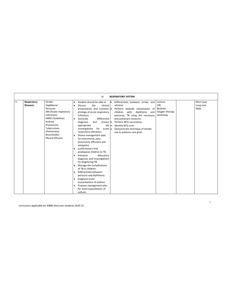|   |                                |                                                                                                                                                                                                           | <b>RESPIRATORY SYSTEM</b><br>III.                                                                                                                                                                                                                                                                                                                                                                                                                                                                                                                                                                                                                                                                                                                                             |  |
|---|--------------------------------|-----------------------------------------------------------------------------------------------------------------------------------------------------------------------------------------------------------|-------------------------------------------------------------------------------------------------------------------------------------------------------------------------------------------------------------------------------------------------------------------------------------------------------------------------------------------------------------------------------------------------------------------------------------------------------------------------------------------------------------------------------------------------------------------------------------------------------------------------------------------------------------------------------------------------------------------------------------------------------------------------------|--|
| 5 | Respiratory<br><b>Diseases</b> | Stridor<br>Diphtheria'<br>Pertussis<br>ARI (Acute respiratory<br>infections)<br><b>IMNCI Guidelines</b><br>Asthma<br>Pneumonia<br>Tuberculosis<br>(Pulmonary)<br><b>Bronchiolitis</b><br>Pleural effusion | Short case<br>Student should be able to<br>Differentiate between stridor and<br>Lecture<br>CBL<br>Long case<br>wheeze.<br>the<br>clinical<br><b>Discuss</b><br>Bedside<br>SAQs<br>Perform bedside examination of<br>presentation and common .<br>Oxygen therapy<br>etiology of acute respiratory<br>diphtheria<br>children<br>with<br>and<br>workshop<br>infections.<br>pertussis, TB using the necessary<br>differential<br>precautionary measures<br>Generate<br>$\bullet$<br>Perform BCG vaccination<br>choose •<br>diagnosis<br>and<br>$lab \bullet$<br>Identify BCG scars<br>appropriate<br>investigations<br>for acute •<br>Demonstrate technique of inhaler<br>respiratory infections.<br>use to patients care giver.<br>Devise management plan<br>for pneumonia, para |  |
|   |                                |                                                                                                                                                                                                           | pneumonic effusions and<br>empyema.<br>Justify factors that<br>predispose children to TB.<br>laboratory<br>Interpret<br>٠<br>diagnosis and investigations<br>for diagnosing TB.<br>Manage the Complications<br>of TB in children.<br>Differentiate between<br>pertussis and diphtheria.<br>Diagnose acute<br>exacerbations of asthma<br>Propose management plan<br>for acute exacerbation of<br>astham.                                                                                                                                                                                                                                                                                                                                                                       |  |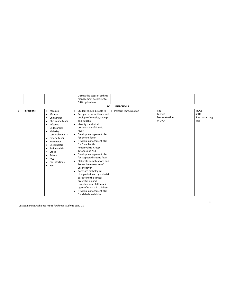|   |                   |                                                                                                                                                                                                                                                                                                                      | Discuss the steps of asthma<br>management according to<br>GINA guidelines<br>IV.                                                                                                                                                                                                                                                                                                                                                                                                                                                                                                                                                                                                                                          | <b>INFECTIONS</b>    |                                           |                                                |
|---|-------------------|----------------------------------------------------------------------------------------------------------------------------------------------------------------------------------------------------------------------------------------------------------------------------------------------------------------------|---------------------------------------------------------------------------------------------------------------------------------------------------------------------------------------------------------------------------------------------------------------------------------------------------------------------------------------------------------------------------------------------------------------------------------------------------------------------------------------------------------------------------------------------------------------------------------------------------------------------------------------------------------------------------------------------------------------------------|----------------------|-------------------------------------------|------------------------------------------------|
| 6 | <b>Infections</b> | Measles<br>$\bullet$<br>Mumps<br>٠<br>Chickenpox<br><b>Rheumatic Fever</b><br>Infective<br>٠<br>Endocarditis<br>Malaria/<br>$\bullet$<br>cerebral malaria<br><b>Enteric Fever</b><br>٠<br>Meningitis<br>٠<br>Encephalitis<br>Poliomyelitis<br>Croup<br>٠<br>Tetnus<br>AGE<br>٠<br>Ear infections<br>HIV<br>$\bullet$ | Student should be able to<br>Recognize the incidence and<br>$\bullet$<br>etiology of Measles, Mumps<br>and Rubella.<br>Identify the clinical<br>presentation of Enteric<br>fever.<br>Develop management plan<br>for enteric fever<br>Develop management plan<br>$\bullet$<br>for Encephalitis,<br>Poliomyelitis, Croup,<br><b>Tetanus and AGE</b><br>Develop management plan<br>for suspected Enteric fever<br>Elaborate complications and<br>Preventive measures of<br>Enteric fever.<br>Correlate pathological<br>٠<br>changes induced by malarial<br>parasite to the clinical<br>presentation and<br>complications of different<br>types of malaria in children.<br>Develop management plan<br>for Malaria in children | Perform Immunization | CBL<br>Lecture<br>Demonstration<br>in OPD | <b>MCQs</b><br>SEQs<br>Short case Long<br>case |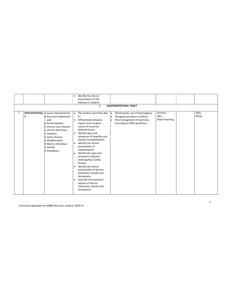|                |                                                                                                                                                                                                                                                               | Identify the clinical<br>$\bullet$                                                                                                                                                                                                                                                                                                                                                                                                                                                                                                                               |                                                                                                                                                             |                                                 |                     |
|----------------|---------------------------------------------------------------------------------------------------------------------------------------------------------------------------------------------------------------------------------------------------------------|------------------------------------------------------------------------------------------------------------------------------------------------------------------------------------------------------------------------------------------------------------------------------------------------------------------------------------------------------------------------------------------------------------------------------------------------------------------------------------------------------------------------------------------------------------------|-------------------------------------------------------------------------------------------------------------------------------------------------------------|-------------------------------------------------|---------------------|
|                |                                                                                                                                                                                                                                                               | presentation of HIV                                                                                                                                                                                                                                                                                                                                                                                                                                                                                                                                              |                                                                                                                                                             |                                                 |                     |
|                |                                                                                                                                                                                                                                                               | infection in children                                                                                                                                                                                                                                                                                                                                                                                                                                                                                                                                            |                                                                                                                                                             |                                                 |                     |
|                |                                                                                                                                                                                                                                                               | V.                                                                                                                                                                                                                                                                                                                                                                                                                                                                                                                                                               | <b>GASTROINTESTINAL TRACT</b>                                                                                                                               |                                                 |                     |
|                |                                                                                                                                                                                                                                                               |                                                                                                                                                                                                                                                                                                                                                                                                                                                                                                                                                                  |                                                                                                                                                             |                                                 |                     |
| $\overline{7}$ | Gastroenterolog . Acute Gastroenteritis<br>• Recurrent abdominal<br>y<br>pain<br>• Acute hepatitis<br>• Chronic Liver Disease<br>• Chronic Diarrhoea<br>• Dysentry<br>• Celiac Disease<br>• Malabsorption<br>• Worms infestation<br>• Giardia<br>· amoebiasis | • The student should be able<br>to<br>Differentiate between<br>$\bullet$<br>organic and inorganic<br>causes of recurrent<br>abdominal pain<br>Identify signs and<br>٠<br>symptoms of hepatitis and<br>hepatic encephalopathy<br>Identify the clinical<br>presentation of<br>malabsorption.<br>Identify the signs and<br>symptoms of gluten<br>enteropathy/coeliac<br>disease<br>Identify the clinical<br>presentation of Worms<br>infestation, Giardia and<br>Amoebiasis<br>Describe the treatment<br>options of Worms<br>infestation, Giardia and<br>Amoebiasis | Demonstrate use of hand hygiene<br>$\bullet$<br>Recognize jaundice in children<br>$\bullet$<br>Plan management of diarrhoea<br>according to WHO guidelines. | Lectures<br><b>CBLs</b><br><b>Ward Teaching</b> | SEQs<br><b>MCQs</b> |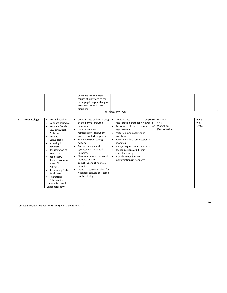|   |             |                             |   | Correlate the common         |           |                                   |                 |              |
|---|-------------|-----------------------------|---|------------------------------|-----------|-----------------------------------|-----------------|--------------|
|   |             |                             |   | causes of diarrhoea to the   |           |                                   |                 |              |
|   |             |                             |   | pathophysiological changes   |           |                                   |                 |              |
|   |             |                             |   | seen in acute and chronic    |           |                                   |                 |              |
|   |             |                             |   | diarrhoea.                   |           |                                   |                 |              |
|   |             |                             |   |                              |           | <b>Vi. NEONATOLOGY</b>            |                 |              |
|   |             |                             |   |                              |           |                                   |                 |              |
| 8 | Neonatology | Normal newborn<br>$\bullet$ |   | • demonstrate understanding  | $\bullet$ | stepwise<br>Demonstrate           | Lectures        | <b>MCQs</b>  |
|   |             | Neonatal Jaundice           |   | of the normal growth of      |           | resuscitation protocol in newborn | CBLs            | SEQs         |
|   |             | ٠                           |   | newborn                      | $\bullet$ | Perform<br>initial                | Workshops       | <b>TOACS</b> |
|   |             | <b>Neonatal Sepsis</b>      |   |                              |           | 0f<br>steps                       | (Resuscitation) |              |
|   |             | Low birthweight/            |   | Identify need for            |           | resuscitation                     |                 |              |
|   |             | Preterm                     |   | resuscitation in newborn     |           | • Perform ambu bagging and        |                 |              |
|   |             | Neonatal<br>٠               |   | and risks of birth asphyxia  |           | ventilation                       |                 |              |
|   |             | Convulsions                 |   | <b>Explain APGAR scoring</b> |           | Perform cardiac compressions in   |                 |              |
|   |             | Vomiting in<br>$\bullet$    |   | system                       |           | neonates                          |                 |              |
|   |             | newborn                     | ٠ | Recognize signs and          |           | Recognize jaundice in neonates    |                 |              |
|   |             | Resuscitation of            |   | symptoms of neonatal         |           | Recognize signs of bilirubin      |                 |              |
|   |             | Newborn                     |   | jaundice.                    |           | encephalopathy                    |                 |              |
|   |             | Respiratory                 |   | Plan treatment of neonatal   | ٠         | Identify minor & major            |                 |              |
|   |             | disorders of new            |   | jaundice and its             |           | malformations in neonates         |                 |              |
|   |             | born- Birth                 |   | complications of neonatal    |           |                                   |                 |              |
|   |             | Asphyxia                    |   | jaundice                     |           |                                   |                 |              |
|   |             | <b>Respiratory Distress</b> |   | Devise treatment plan for    |           |                                   |                 |              |
|   |             | Syndrome                    |   | neonatal convulsions based   |           |                                   |                 |              |
|   |             |                             |   | on the etiology.             |           |                                   |                 |              |
|   |             | Necrotizing<br>٠            |   |                              |           |                                   |                 |              |
|   |             | Enterocolitis               |   |                              |           |                                   |                 |              |
|   |             | Hypoxic Ischaemic           |   |                              |           |                                   |                 |              |
|   |             | Encephalopathy              |   |                              |           |                                   |                 |              |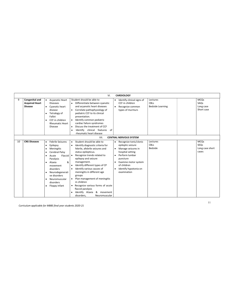|    |                                                           |                             |                                                                                                                                                                                                                             |                                          | VI.                                                                                                                                                                                                                                                                                                                                                                                                                                                                              | <b>CARDIOLOGY</b>                                                                                                                                                                                  |             |                                     |  |                                                 |
|----|-----------------------------------------------------------|-----------------------------|-----------------------------------------------------------------------------------------------------------------------------------------------------------------------------------------------------------------------------|------------------------------------------|----------------------------------------------------------------------------------------------------------------------------------------------------------------------------------------------------------------------------------------------------------------------------------------------------------------------------------------------------------------------------------------------------------------------------------------------------------------------------------|----------------------------------------------------------------------------------------------------------------------------------------------------------------------------------------------------|-------------|-------------------------------------|--|-------------------------------------------------|
| 9  | Congenital and<br><b>Acquired Heart</b><br><b>Disease</b> | $\bullet$                   | Acyanotic Heart<br><b>Diseases</b><br>Cyanotic heart<br>disease<br>Tetralogy of<br>Fallot<br>CCF in children<br><b>Rheumatic Heart</b><br>Disease                                                                           | $\bullet$<br>$\bullet$<br>٠<br>$\bullet$ | Student should be able to<br>Differentiate between cyanotic<br>and acvanotic heart diseases<br>Correlate pathophysiology of<br>pediatric CCF to its clinical<br>presentation.<br>Identify common pediatric<br>cardiac failure syndromes<br>Discuss the treatment of CCF<br>Identify clinical features<br>0f<br>rheumatic heart disease                                                                                                                                           | Identify clinical signs of<br>CCF in children<br>Recognize common<br>types of murmurs                                                                                                              | <b>CBLs</b> | Lectures<br><b>Bedside Learning</b> |  | <b>MCQs</b><br>SAQs<br>Long case<br>Short case  |
|    |                                                           |                             |                                                                                                                                                                                                                             |                                          | VII.                                                                                                                                                                                                                                                                                                                                                                                                                                                                             | <b>CENTRAL NERVOUS SYSTEM</b>                                                                                                                                                                      |             |                                     |  |                                                 |
| 10 | <b>CNS Diseases</b>                                       | $\bullet$<br>٠<br>$\bullet$ | Febrile Seizures<br>Epilepsy<br>Meningitis<br>Cerebral Palsy<br>Flaccid   •<br>Acute<br>Paralysis<br>&<br>Ataxia<br>movement<br>disorders<br>Neurodegenerati<br>ve disorders<br>Neuromuscular<br>disorders<br>Floppy infant | $\bullet$                                | Student should be able to<br>Identify diagnostic criteria for<br>febrile, afebrile seizures and<br>status epilepticus.<br>Recognize trends related to<br>epilepsy and seizure<br>management.<br>Identify different types of CP<br>Identify various causes of<br>meningitis in different age<br>groups<br>Plan management of meningitis<br>in children<br>• Recognize various forms of acute<br>flaccid paralysis<br>Identify Ataxia<br>& movement<br>disorders,<br>Neuromuscular | Recognize tonic/clonic<br>epileptic seizure<br>Manage seizures in<br>hospital setting<br>Perform lumbar<br>puncture<br>Examine motor system<br>of children<br>Identify hypotonia on<br>examination | <b>CBLs</b> | Lectures<br>Bedside                 |  | <b>MCQs</b><br>SEQs<br>Long case short<br>cases |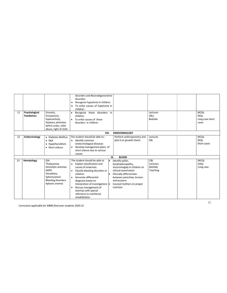| 11 | Psychological<br><b>Paediatrics</b> | Enuresis,<br>Encoparesis,<br>hyperactivity,<br>Dyslexia, attention<br>deficit order, child<br>abuse, right of child                   | disorders and Neurodegenerative<br>disorders<br>Recognize hypotonia in children<br>To enlist causes of hypotonia in<br>٠<br>children<br>Recognize these disorders in<br>٠<br>children<br>To enlist causes of these<br>$\bullet$<br>disorders in children                                                                                                               |                                                                                                                                                                                                                  | Lectures<br><b>CBLs</b><br>Bedside            | <b>MCQs</b><br>SEQs<br>Long case short<br>cases |
|----|-------------------------------------|---------------------------------------------------------------------------------------------------------------------------------------|------------------------------------------------------------------------------------------------------------------------------------------------------------------------------------------------------------------------------------------------------------------------------------------------------------------------------------------------------------------------|------------------------------------------------------------------------------------------------------------------------------------------------------------------------------------------------------------------|-----------------------------------------------|-------------------------------------------------|
|    |                                     |                                                                                                                                       | VIII.                                                                                                                                                                                                                                                                                                                                                                  | <b>ENDOCRINOLOGY</b>                                                                                                                                                                                             |                                               |                                                 |
| 12 | Endocrinology                       | • Diabetes Mellitus<br>$\bullet$ DKA<br>• Hypothyroidism<br>• Short stature                                                           | The student should be able to: -<br>Identify common<br>$\bullet$<br>endocrinological diseases<br>Develop management plans of<br>$\bullet$<br>short stature due to various<br>causes<br>IX.                                                                                                                                                                             | Perform anthropometry and<br>plot it on growth charts<br><b>BLOOD</b>                                                                                                                                            | Lectures<br>CBL                               | <b>MCQs</b><br>SEOs<br>Short cases              |
| 13 | Hematology                          | <b>IDA</b><br>Thalassemia<br>Hemolytic anemias<br>G6PD<br>Hereditary<br>Spherocytosis<br><b>Bleeding disorders</b><br>Aplastic anemia | The student should be able to<br>Explain classification and<br>$\bullet$<br>causes of anaemias.<br>Classify bleeding disorders in<br>٠<br>children<br>Generate differential<br>$\bullet$<br>diagnosis based on<br>Interpretion of investigations $\bullet$<br>Discuss management of<br>$\bullet$<br>anemias with special<br>reference to nutritional<br>rehabilitation | Identify pallor,<br>lymphadenopathy,<br>visceromegaly in children on<br>clinical examination<br>Clinically differentiate<br>between petechiae, bruises<br>and purpura.<br>Counsel mothers on proper<br>nutrition | <b>CBL</b><br>Lectures<br>Bedside<br>Teaching | <b>MCOs</b><br>SAOs<br>Long case                |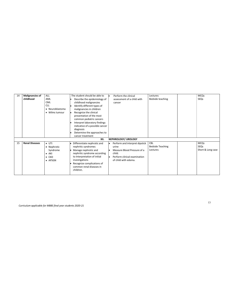| 14 | <b>Malignancies of</b><br>childhood | <b>ALL</b><br>AML<br><b>CML</b><br><b>CLL</b><br>• Neuroblastoma<br>• Wilms tumour | The student should be able to<br>Describe the epidemiology of<br>childhood malignancies<br>Identify different types of<br>malignancies in children<br>Recognize the clinical<br>presentation of the most<br>common pediatric cancers<br>Interpret laboratory findings<br>indicative of a possible cancer | Perform the clinical<br>assessment of a child with<br>cancer                                                                             | Lectures<br>Bedside teaching               | <b>MCQs</b><br>SEQs                      |
|----|-------------------------------------|------------------------------------------------------------------------------------|----------------------------------------------------------------------------------------------------------------------------------------------------------------------------------------------------------------------------------------------------------------------------------------------------------|------------------------------------------------------------------------------------------------------------------------------------------|--------------------------------------------|------------------------------------------|
|    |                                     |                                                                                    | diagnosis<br>Determine the approaches to<br>cancer treatment<br>XII.                                                                                                                                                                                                                                     | NEPHROLOGY/ UROLOGY                                                                                                                      |                                            |                                          |
| 15 | <b>Renal Diseases</b>               | $\bullet$ UTI<br>• Nephrotic<br>Syndrome<br>AKI<br>$\bullet$ CKD<br>• APSGN        | Differentiate nephrotic and<br>nephritic syndromes<br>Manage nephrotic and<br>nephritic syndrome according<br>to Interpretation of initial<br>investigations<br>Recognize complications of<br>common renal diseases in<br>children.                                                                      | Perform and interpret dipstick<br>urine<br>Measure Blood Pressure of a<br>child.<br>Perform clinical examination<br>of child with edema. | CBL<br><b>Bedside Teaching</b><br>Lectures | <b>MCQs</b><br>SEQs<br>Short & Long case |